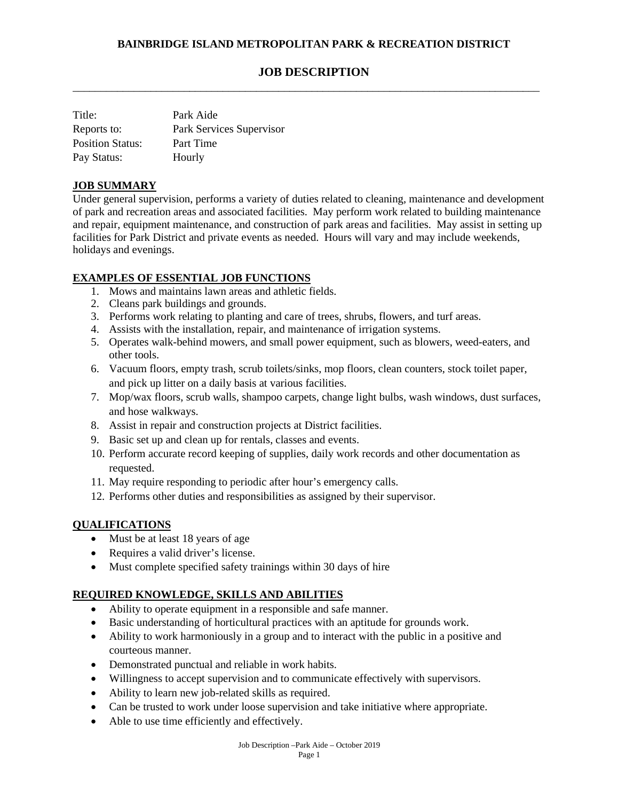# **JOB DESCRIPTION**

\_\_\_\_\_\_\_\_\_\_\_\_\_\_\_\_\_\_\_\_\_\_\_\_\_\_\_\_\_\_\_\_\_\_\_\_\_\_\_\_\_\_\_\_\_\_\_\_\_\_\_\_\_\_\_\_\_\_\_\_\_\_\_\_\_\_\_\_\_\_\_\_\_\_\_\_\_\_\_\_\_\_\_\_

| Title:                  | Park Aide                |
|-------------------------|--------------------------|
| Reports to:             | Park Services Supervisor |
| <b>Position Status:</b> | Part Time                |
| Pay Status:             | Hourly                   |

# **JOB SUMMARY**

Under general supervision, performs a variety of duties related to cleaning, maintenance and development of park and recreation areas and associated facilities. May perform work related to building maintenance and repair, equipment maintenance, and construction of park areas and facilities. May assist in setting up facilities for Park District and private events as needed. Hours will vary and may include weekends, holidays and evenings.

## **EXAMPLES OF ESSENTIAL JOB FUNCTIONS**

- 1. Mows and maintains lawn areas and athletic fields.
- 2. Cleans park buildings and grounds.
- 3. Performs work relating to planting and care of trees, shrubs, flowers, and turf areas.
- 4. Assists with the installation, repair, and maintenance of irrigation systems.
- 5. Operates walk-behind mowers, and small power equipment, such as blowers, weed-eaters, and other tools.
- 6. Vacuum floors, empty trash, scrub toilets/sinks, mop floors, clean counters, stock toilet paper, and pick up litter on a daily basis at various facilities.
- 7. Mop/wax floors, scrub walls, shampoo carpets, change light bulbs, wash windows, dust surfaces, and hose walkways.
- 8. Assist in repair and construction projects at District facilities.
- 9. Basic set up and clean up for rentals, classes and events.
- 10. Perform accurate record keeping of supplies, daily work records and other documentation as requested.
- 11. May require responding to periodic after hour's emergency calls.
- 12. Performs other duties and responsibilities as assigned by their supervisor.

#### **QUALIFICATIONS**

- Must be at least 18 years of age
- Requires a valid driver's license.
- Must complete specified safety trainings within 30 days of hire

## **REQUIRED KNOWLEDGE, SKILLS AND ABILITIES**

- Ability to operate equipment in a responsible and safe manner.
- Basic understanding of horticultural practices with an aptitude for grounds work.
- Ability to work harmoniously in a group and to interact with the public in a positive and courteous manner.
- Demonstrated punctual and reliable in work habits.
- Willingness to accept supervision and to communicate effectively with supervisors.
- Ability to learn new job-related skills as required.
- Can be trusted to work under loose supervision and take initiative where appropriate.
- Able to use time efficiently and effectively.